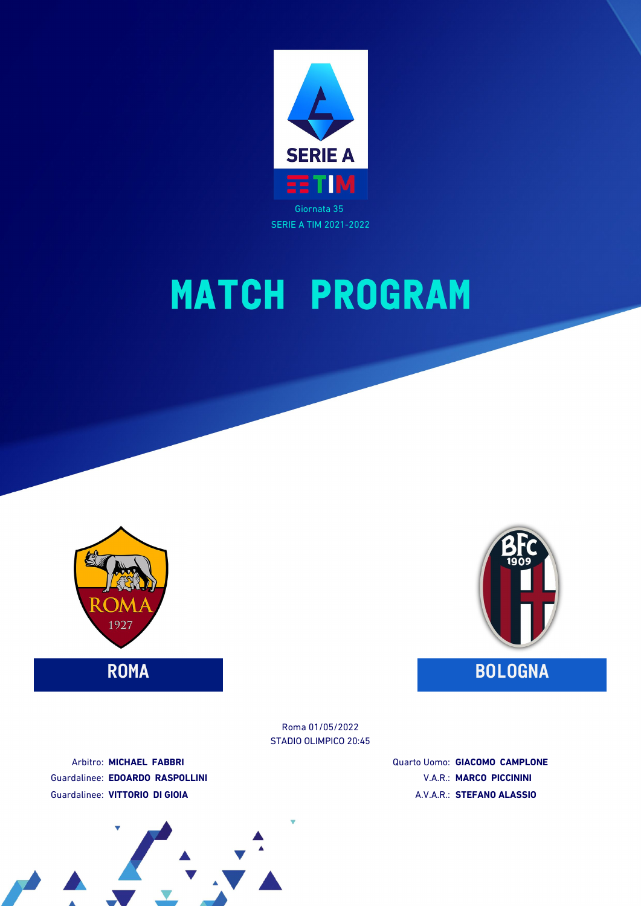





STADIO OLIMPICO 20:45 Roma 01/05/2022

Arbitro: **MICHAEL FABBRI** Guardalinee: **EDOARDO RASPOLLINI** Guardalinee: **VITTORIO DI GIOIA**

Quarto Uomo: **GIACOMO CAMPLONE** V.A.R.: **MARCO PICCININI** A.V.A.R.: **STEFANO ALASSIO**

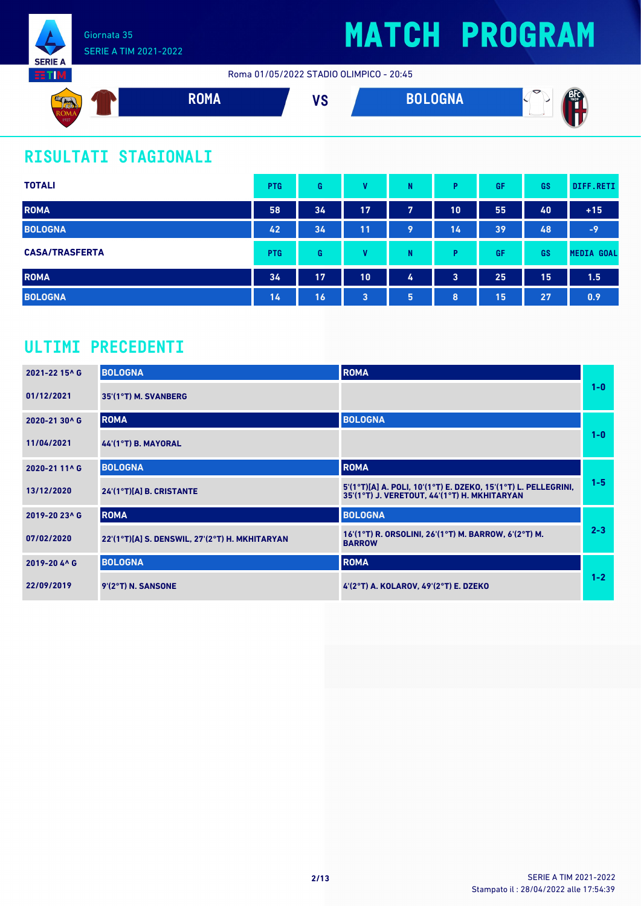

Roma 01/05/2022 STADIO OLIMPICO - 20:45



### **RISULTATI STAGIONALI**

| <b>TOTALI</b>         | <b>PTG</b> | G  | v  | N | Þ  | GF | GS | DIFF.RETI         |
|-----------------------|------------|----|----|---|----|----|----|-------------------|
| <b>ROMA</b>           | 58         | 34 | 17 | 7 | 10 | 55 | 40 | $+15$             |
| <b>BOLOGNA</b>        | 42         | 34 | 11 | 9 | 14 | 39 | 48 | $-9$              |
| <b>CASA/TRASFERTA</b> | <b>PTG</b> | G  | v  | N | D  | GF | GS | <b>MEDIA GOAL</b> |
| <b>ROMA</b>           | 34         | 17 | 10 | 4 | 3  | 25 | 15 | 1.5               |
| <b>BOLOGNA</b>        | 14         | 16 | 3  | 5 | 8  | 15 | 27 | 0.9               |

### **ULTIMI PRECEDENTI**

| 2021-22 15^ G | <b>BOLOGNA</b>                                 | <b>ROMA</b>                                                                                                    |         |
|---------------|------------------------------------------------|----------------------------------------------------------------------------------------------------------------|---------|
| 01/12/2021    | 35'(1°T) M. SVANBERG                           |                                                                                                                | $1 - 0$ |
| 2020-21 30^ G | <b>ROMA</b>                                    | <b>BOLOGNA</b>                                                                                                 |         |
| 11/04/2021    | $44(1°T)$ B. MAYORAL                           |                                                                                                                | $1 - 0$ |
| 2020-21 11^ G | <b>BOLOGNA</b>                                 | <b>ROMA</b>                                                                                                    |         |
| 13/12/2020    | 24'(1°T)[A] B. CRISTANTE                       | 5'(1°T)[A] A. POLI, 10'(1°T) E. DZEKO, 15'(1°T) L. PELLEGRINI,<br>35'(1°T) J. VERETOUT, 44'(1°T) H. MKHITARYAN | $1 - 5$ |
| 2019-20 23^ G | <b>ROMA</b>                                    | <b>BOLOGNA</b>                                                                                                 |         |
| 07/02/2020    | 22'(1°T)[A] S. DENSWIL, 27'(2°T) H. MKHITARYAN | 16'(1°T) R. ORSOLINI, 26'(1°T) M. BARROW, 6'(2°T) M.<br><b>BARROW</b>                                          | $2 - 3$ |
| 2019-20 4^ G  | <b>BOLOGNA</b>                                 | <b>ROMA</b>                                                                                                    |         |
| 22/09/2019    | 9'(2°T) N. SANSONE                             | 4'(2°T) A. KOLAROV, 49'(2°T) E. DZEKO                                                                          | $1 - 2$ |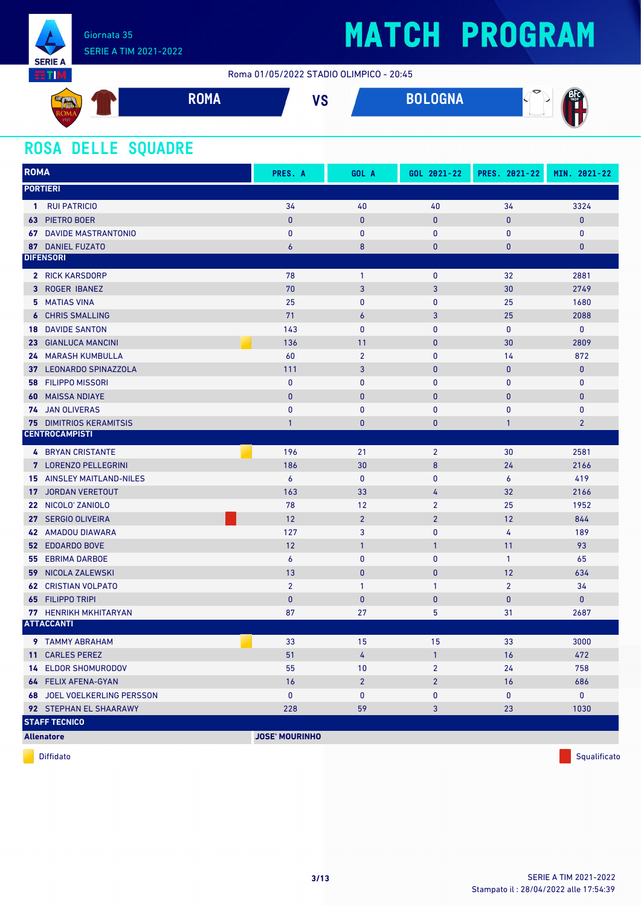

Roma 01/05/2022 STADIO OLIMPICO - 20:45



#### **ROSA DELLE SQUADRE**

| <b>ROMA</b> |                                    | PRES. A               | GOL A          | GOL 2021-22    | PRES. 2021-22    | MIN. 2021-22   |
|-------------|------------------------------------|-----------------------|----------------|----------------|------------------|----------------|
|             | <b>PORTIERI</b>                    |                       |                |                |                  |                |
| -1          | <b>RUI PATRICIO</b>                | 34                    | 40             | 40             | 34               | 3324           |
| 63          | PIETRO BOER                        | $\bf{0}$              | $\mathbf{0}$   | $\pmb{0}$      | $\pmb{0}$        | $\mathbf 0$    |
|             | <b>67 DAVIDE MASTRANTONIO</b>      | $\bf{0}$              | $\mathbf{0}$   | $\mathbf{0}$   | 0                | $\mathbf 0$    |
|             | 87 DANIEL FUZATO                   | $\boldsymbol{6}$      | 8              | $\bf{0}$       | $\bf{0}$         | $\bf{0}$       |
|             | <b>DIFENSORI</b>                   |                       |                |                |                  |                |
|             | 2 RICK KARSDORP                    | 78                    | $\mathbf{1}$   | 0              | 32               | 2881           |
|             | 3 ROGER IBANEZ                     | 70                    | $\mathbf{3}$   | 3              | 30               | 2749           |
|             | <b>5 MATIAS VINA</b>               | 25                    | $\mathbf{0}$   | $\mathbf{0}$   | 25               | 1680           |
|             | <b>6 CHRIS SMALLING</b>            | 71                    | $\overline{6}$ | 3              | 25               | 2088           |
| 18          | <b>DAVIDE SANTON</b>               | 143                   | $\mathbf{0}$   | $\mathbf{0}$   | $\bf{0}$         | $\mathbf 0$    |
|             | 23 GIANLUCA MANCINI                | 136                   | 11             | $\mathbf{0}$   | 30               | 2809           |
|             | <b>24 MARASH KUMBULLA</b>          | 60                    | $\overline{2}$ | $\mathbf{0}$   | 14               | 872            |
| 37          | <b>LEONARDO SPINAZZOLA</b>         | 111                   | 3              | $\pmb{0}$      | $\pmb{0}$        | $\bf{0}$       |
| 58          | <b>FILIPPO MISSORI</b>             | $\mathbf{0}$          | $\mathbf{0}$   | $\mathbf{0}$   | $\bf{0}$         | $\mathbf 0$    |
| 60          | <b>MAISSA NDIAYE</b>               | $\bf{0}$              | $\mathbf{0}$   | $\bf{0}$       | $\bf{0}$         | $\bf{0}$       |
|             | 74 JAN OLIVERAS                    | $\mathbf{0}$          | $\mathbf{0}$   | $\mathbf{0}$   | $\bf{0}$         | $\mathbf 0$    |
|             | <b>75 DIMITRIOS KERAMITSIS</b>     | $\mathbf{1}$          | $\bf{0}$       | $\bf{0}$       | $\mathbf{1}$     | $\overline{2}$ |
|             | <b>CENTROCAMPISTI</b>              |                       |                |                |                  |                |
|             | <b>4 BRYAN CRISTANTE</b>           | 196                   | 21             | $\overline{2}$ | 30               | 2581           |
|             | 7 LORENZO PELLEGRINI               | 186                   | 30             | 8              | 24               | 2166           |
|             | <b>15 AINSLEY MAITLAND-NILES</b>   | $\boldsymbol{6}$      | $\mathbf 0$    | 0              | $\boldsymbol{6}$ | 419            |
| 17          | <b>JORDAN VERETOUT</b>             | 163                   | 33             | 4              | 32               | 2166           |
| 22          | NICOLO' ZANIOLO                    | 78                    | 12             | $\overline{2}$ | 25               | 1952           |
| 27          | <b>SERGIO OLIVEIRA</b>             | 12                    | $\overline{2}$ | $\overline{2}$ | 12               | 844            |
| 42          | <b>AMADOU DIAWARA</b>              | 127                   | 3              | 0              | 4                | 189            |
|             | <b>52 EDOARDO BOVE</b>             | 12                    | $\mathbf{1}$   | $\mathbf{1}$   | 11               | 93             |
|             | <b>55 EBRIMA DARBOE</b>            | 6                     | $\mathbf 0$    | 0              | $\mathbf{1}$     | 65             |
| 59          | NICOLA ZALEWSKI                    | 13                    | $\mathbf{0}$   | $\mathbf{0}$   | 12               | 634            |
| 62          | <b>CRISTIAN VOLPATO</b>            | $\overline{2}$        | $\mathbf{1}$   | $\mathbf{1}$   | $\overline{2}$   | 34             |
| 65          | <b>FILIPPO TRIPI</b>               | $\bf{0}$              | $\mathbf{0}$   | $\mathbf{0}$   | $\bf{0}$         | $\bf{0}$       |
|             | 77 HENRIKH MKHITARYAN              | 87                    | 27             | 5              | 31               | 2687           |
|             | <b>ATTACCANTI</b>                  |                       |                |                |                  |                |
|             | 9 TAMMY ABRAHAM                    | 33                    | 15             | 15             | 33               | 3000           |
|             | 11 CARLES PEREZ                    | 51                    | 4              | $\mathbf{1}$   | 16               | 472            |
|             | <b>14 ELDOR SHOMURODOV</b>         | 55                    | 10             | $\overline{2}$ | 24               | 758            |
|             | 64 FELIX AFENA-GYAN                | 16                    | $\overline{2}$ | $\overline{2}$ | 16               | 686            |
|             | <b>68 JOEL VOELKERLING PERSSON</b> | $\mathbf{0}$          | $\mathbf 0$    | 0              | $\mathbf 0$      | $\mathbf 0$    |
|             | <b>92 STEPHAN EL SHAARAWY</b>      | 228                   | 59             | 3              | 23               | 1030           |
|             | <b>STAFF TECNICO</b>               |                       |                |                |                  |                |
|             | <b>Allenatore</b>                  | <b>JOSE' MOURINHO</b> |                |                |                  |                |



diffidato de la contradicción de la contradicción de la contradicción de la contradicción de la contradicción de Squalificato de la contradicción de la contradicción de la contradicción de la contradicción de la contradicc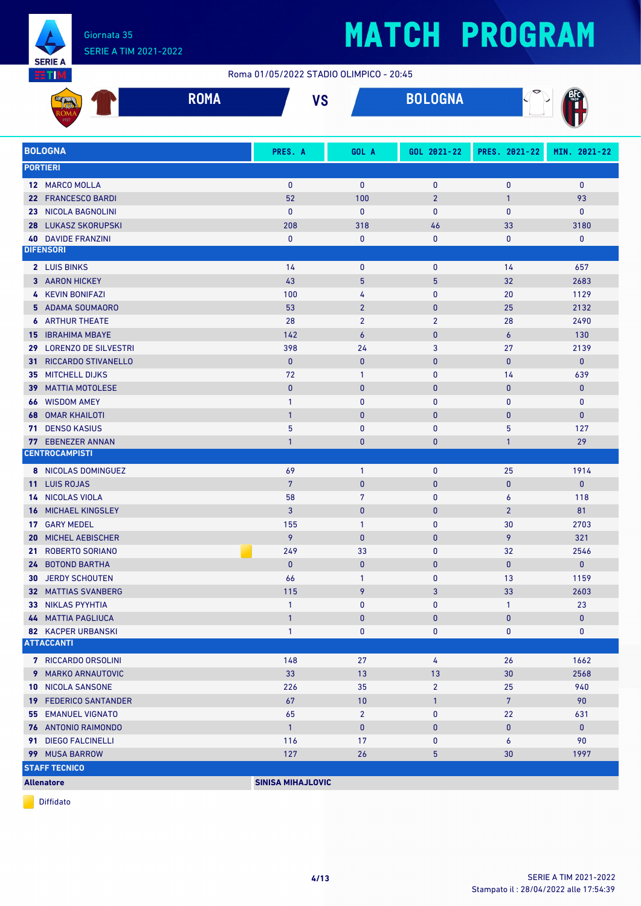

#### Giornata 35 SERIE A TIM 2021-2022

# **MATCH PROGRAM**

Roma 01/05/2022 STADIO OLIMPICO - 20:45

|                 |                                            | <b>ROMA</b> | <b>VS</b>                |                                | <b>BOLOGNA</b> |                              |                  |
|-----------------|--------------------------------------------|-------------|--------------------------|--------------------------------|----------------|------------------------------|------------------|
|                 | <b>BOLOGNA</b>                             |             | PRES. A                  | GOL A                          | GOL 2021-22    | PRES. 2021-22                | MIN. 2021-22     |
|                 | <b>PORTIERI</b>                            |             |                          |                                |                |                              |                  |
|                 | 12 MARCO MOLLA                             |             | $\mathbf{0}$             | $\mathbf{0}$                   | $\pmb{0}$      | $\pmb{0}$                    | $\bf{0}$         |
| 22              | <b>FRANCESCO BARDI</b>                     |             | 52                       | 100                            | $\overline{2}$ | $\mathbf{1}$                 | 93               |
| 23              | <b>NICOLA BAGNOLINI</b>                    |             | $\mathbf{0}$             | $\bf{0}$                       | 0              | $\mathbf{0}$                 | 0                |
| 28              | <b>LUKASZ SKORUPSKI</b>                    |             | 208                      | 318                            | 46             | 33                           | 3180             |
|                 | <b>40 DAVIDE FRANZINI</b>                  |             | $\mathbf{0}$             | 0                              | 0              | $\pmb{0}$                    | 0                |
|                 | <b>DIFENSORI</b>                           |             |                          |                                |                |                              |                  |
|                 | 2 LUIS BINKS                               |             | 14                       | $\pmb{0}$                      | $\pmb{0}$      | 14                           | 657              |
|                 | 3 AARON HICKEY                             |             | 43                       | 5                              | 5              | 32                           | 2683             |
|                 | 4 KEVIN BONIFAZI                           |             | 100                      | 4                              | 0              | 20                           | 1129             |
| 5.              | ADAMA SOUMAORO                             |             | 53                       | $\overline{2}$                 | $\bf{0}$       | 25                           | 2132             |
| 6               | <b>ARTHUR THEATE</b>                       |             | 28                       | $\overline{2}$                 | $\overline{2}$ | 28                           | 2490             |
| 15              | <b>IBRAHIMA MBAYE</b>                      |             | 142                      | $\epsilon$                     | $\pmb{0}$      | 6                            | 130              |
| 29              | <b>LORENZO DE SILVESTRI</b>                |             | 398                      | 24                             | 3              | 27                           | 2139             |
| 31              | RICCARDO STIVANELLO                        |             | $\mathbf{0}$             | $\mathbf{0}$                   | $\pmb{0}$      | $\bf{0}$                     | $\mathbf{0}$     |
| 35              | <b>MITCHELL DIJKS</b>                      |             | 72                       | $\mathbf{1}$                   | 0              | 14                           | 639              |
| 39              | <b>MATTIA MOTOLESE</b>                     |             | $\mathbf{0}$             | $\mathbf{0}$                   | $\pmb{0}$      | $\bf{0}$                     | $\pmb{0}$        |
| 66              | <b>WISDOM AMEY</b>                         |             | $\mathbf{1}$             | $\mathbf 0$                    | 0              | $\pmb{0}$                    | $\bf{0}$         |
| 68              | <b>OMAR KHAILOTI</b>                       |             | $\overline{1}$           | $\mathbf{0}$                   | $\bf{0}$       | $\bf{0}$                     | $\pmb{0}$        |
| 71              | <b>DENSO KASIUS</b>                        |             | 5                        | $\mathbf{0}$                   | 0              | 5                            | 127              |
|                 | 77 EBENEZER ANNAN<br><b>CENTROCAMPISTI</b> |             | $\mathbf{1}$             | 0                              | 0              | $\mathbf{1}$                 | 29               |
|                 |                                            |             |                          |                                |                |                              |                  |
|                 | 8 NICOLAS DOMINGUEZ                        |             | 69<br>$\overline{7}$     | $\mathbf{1}$                   | 0              | 25                           | 1914             |
|                 | 11 LUIS ROJAS<br>14 NICOLAS VIOLA          |             | 58                       | $\mathbf{0}$<br>$\overline{7}$ | $\pmb{0}$<br>0 | $\bf{0}$<br>$\boldsymbol{6}$ | $\pmb{0}$<br>118 |
| 16              | MICHAEL KINGSLEY                           |             | 3                        | $\mathbf{0}$                   | $\pmb{0}$      | $\overline{2}$               | 81               |
|                 | 17 GARY MEDEL                              |             | 155                      | $\mathbf{1}$                   | $\pmb{0}$      | 30                           | 2703             |
| 20              | <b>MICHEL AEBISCHER</b>                    |             | 9                        | $\mathbf{0}$                   | $\bf{0}$       | 9                            | 321              |
| 21 <sup>2</sup> | <b>ROBERTO SORIANO</b>                     |             | 249                      | 33                             | $\pmb{0}$      | 32                           | 2546             |
|                 | 24 BOTOND BARTHA                           |             | $\mathbf{0}$             | 0                              | 0              | $\bf{0}$                     | $\mathbf{0}$     |
|                 | <b>30 JERDY SCHOUTEN</b>                   |             | 66                       | $\mathbf{1}$                   | 0              | 13                           | 1159             |
|                 | <b>32 MATTIAS SVANBERG</b>                 |             | 115                      | 9                              | 3              | 33                           | 2603             |
|                 | 33 NIKLAS PYYHTIA                          |             | $\mathbf{1}$             | 0                              | 0              | $\mathbf{1}$                 | 23               |
|                 | <b>44 MATTIA PAGLIUCA</b>                  |             | $\overline{1}$           | $\bf{0}$                       | $\pmb{0}$      | $\pmb{0}$                    | $\pmb{0}$        |
|                 | <b>82 KACPER URBANSKI</b>                  |             | $\mathbf{1}$             | 0                              | 0              | 0                            | 0                |
|                 | <b>ATTACCANTI</b>                          |             |                          |                                |                |                              |                  |
|                 | 7 RICCARDO ORSOLINI                        |             | 148                      | 27                             | 4              | 26                           | 1662             |
|                 | 9 MARKO ARNAUTOVIC                         |             | 33                       | 13                             | 13             | 30                           | 2568             |
|                 | <b>10 NICOLA SANSONE</b>                   |             | 226                      | 35                             | $\overline{2}$ | 25                           | 940              |
|                 | <b>19 FEDERICO SANTANDER</b>               |             | 67                       | 10                             | $\mathbf{1}$   | $7\phantom{.}$               | 90               |
|                 | <b>55 EMANUEL VIGNATO</b>                  |             | 65                       | $\overline{2}$                 | 0              | 22                           | 631              |
|                 | 76 ANTONIO RAIMONDO                        |             | $\mathbf{1}$             | $\mathbf{0}$                   | $\bf{0}$       | $\pmb{0}$                    | $\mathbf{0}$     |
|                 | 91 DIEGO FALCINELLI                        |             | 116                      | 17                             | 0              | 6                            | 90               |
|                 | 99 MUSA BARROW                             |             | 127                      | 26                             | 5              | 30                           | 1997             |
|                 | <b>STAFF TECNICO</b>                       |             |                          |                                |                |                              |                  |
|                 | <b>Allenatore</b>                          |             | <b>SINISA MIHAJLOVIC</b> |                                |                |                              |                  |

Diffidato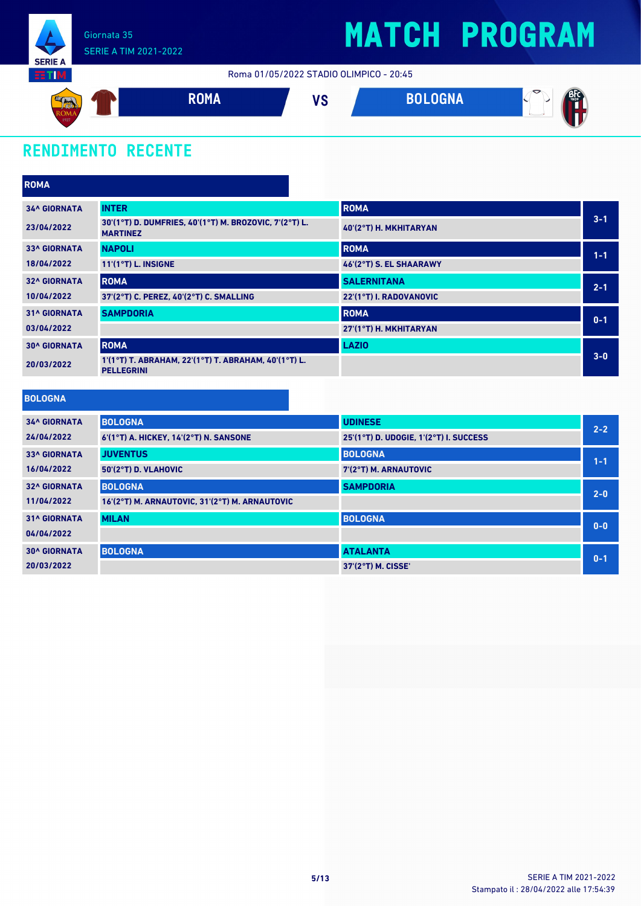

Roma 01/05/2022 STADIO OLIMPICO - 20:45



### **RENDIMENTO RECENTE**

| <b>ROMA</b>         |                                                                           |                         |         |
|---------------------|---------------------------------------------------------------------------|-------------------------|---------|
| <b>34^ GIORNATA</b> | <b>INTER</b>                                                              | <b>ROMA</b>             |         |
| 23/04/2022          | 30'(1°T) D. DUMFRIES, 40'(1°T) M. BROZOVIC, 7'(2°T) L.<br><b>MARTINEZ</b> | 40'(2°T) H. MKHITARYAN  | $3 - 1$ |
| <b>33^ GIORNATA</b> | <b>NAPOLI</b>                                                             | <b>ROMA</b>             | $1 - 1$ |
| 18/04/2022          | $11'(1°T)$ L. INSIGNE                                                     | 46'(2°T) S. EL SHAARAWY |         |
| <b>32^ GIORNATA</b> | <b>ROMA</b>                                                               | <b>SALERNITANA</b>      | $2 - 1$ |
| 10/04/2022          | 37'(2°T) C. PEREZ, 40'(2°T) C. SMALLING                                   | 22'(1°T) I. RADOVANOVIC |         |
| <b>31^ GIORNATA</b> | <b>SAMPDORIA</b>                                                          | <b>ROMA</b>             | $0 - 1$ |
| 03/04/2022          |                                                                           | 27'(1°T) H. MKHITARYAN  |         |
| <b>30^ GIORNATA</b> | <b>ROMA</b>                                                               | <b>LAZIO</b>            |         |
| 20/03/2022          | 1'(1°T) T. ABRAHAM, 22'(1°T) T. ABRAHAM, 40'(1°T) L.<br><b>PELLEGRINI</b> |                         | $3-0$   |
| .                   |                                                                           |                         |         |

|  | <b>BOLOGNA</b> |  |
|--|----------------|--|
|  |                |  |

| <b>34^ GIORNATA</b> | <b>BOLOGNA</b>                                 | <b>UDINESE</b>                         | $2 - 2$ |
|---------------------|------------------------------------------------|----------------------------------------|---------|
| 24/04/2022          | 6'(1°T) A. HICKEY, 14'(2°T) N. SANSONE         | 25'(1°T) D. UDOGIE, 1'(2°T) I. SUCCESS |         |
| <b>33^ GIORNATA</b> | <b>JUVENTUS</b>                                | <b>BOLOGNA</b>                         | $1 - 1$ |
| 16/04/2022          | $50'(2°T)$ D. VLAHOVIC                         | 7'(2°T) M. ARNAUTOVIC                  |         |
| <b>32^ GIORNATA</b> | <b>BOLOGNA</b>                                 | <b>SAMPDORIA</b>                       | $2 - 0$ |
| 11/04/2022          | 16'(2°T) M. ARNAUTOVIC, 31'(2°T) M. ARNAUTOVIC |                                        |         |
| <b>31^ GIORNATA</b> | <b>MILAN</b>                                   | <b>BOLOGNA</b>                         | $0 - 0$ |
| 04/04/2022          |                                                |                                        |         |
| <b>30^ GIORNATA</b> | <b>BOLOGNA</b>                                 | <b>ATALANTA</b>                        | $0 - 1$ |
| 20/03/2022          |                                                | 37'(2°T) M. CISSE'                     |         |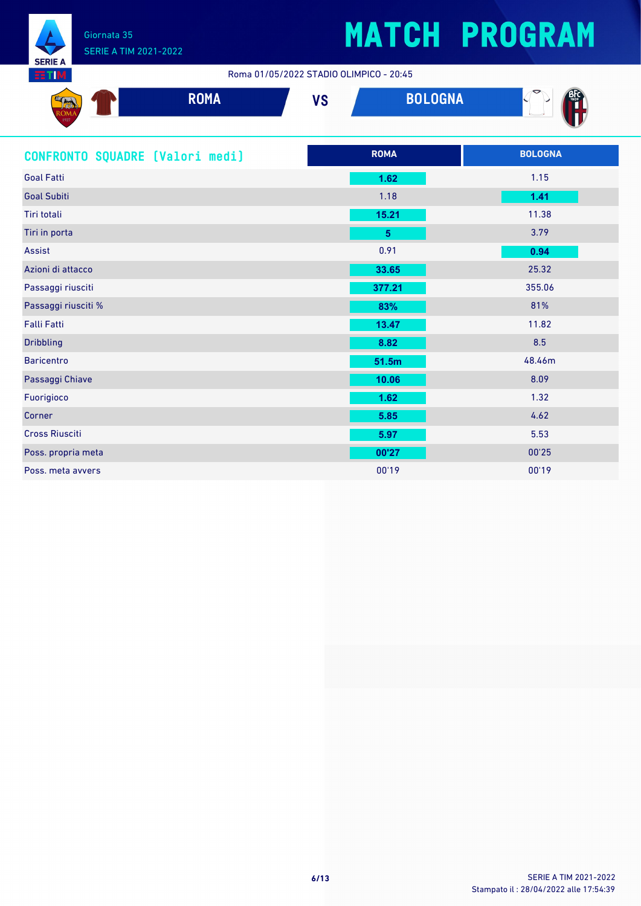

Roma 01/05/2022 STADIO OLIMPICO - 20:45

| <b>SAND</b><br><mark>rasan</mark> ,<br><b>RUNIA</b> | <b>DAMA</b><br><b>TUITA</b> | $\mathbf{u}$<br>V J | <b>DOLOOHA</b><br><b>DULUUINA</b> | $\tilde{\phantom{a}}$<br><b>Contract Contract Contract Contract</b> |
|-----------------------------------------------------|-----------------------------|---------------------|-----------------------------------|---------------------------------------------------------------------|
| 1927                                                |                             |                     |                                   | $\sim$                                                              |

| CONFRONTO SQUADRE [Valori medi] | <b>ROMA</b>    | <b>BOLOGNA</b> |
|---------------------------------|----------------|----------------|
| <b>Goal Fatti</b>               | 1.62           | 1.15           |
| <b>Goal Subiti</b>              | 1.18           | 1.41           |
| <b>Tiri totali</b>              | 15.21          | 11.38          |
| Tiri in porta                   | 5 <sub>5</sub> | 3.79           |
| Assist                          | 0.91           | 0.94           |
| Azioni di attacco               | 33.65          | 25.32          |
| Passaggi riusciti               | 377.21         | 355.06         |
| Passaggi riusciti %             | 83%            | 81%            |
| <b>Falli Fatti</b>              | 13.47          | 11.82          |
| <b>Dribbling</b>                | 8.82           | 8.5            |
| <b>Baricentro</b>               | 51.5m          | 48.46m         |
| Passaggi Chiave                 | 10.06          | 8.09           |
| Fuorigioco                      | 1.62           | 1.32           |
| Corner                          | 5.85           | 4.62           |
| <b>Cross Riusciti</b>           | 5.97           | 5.53           |
| Poss. propria meta              | 00'27          | 00'25          |
| Poss, meta avvers               | 00'19          | 00'19          |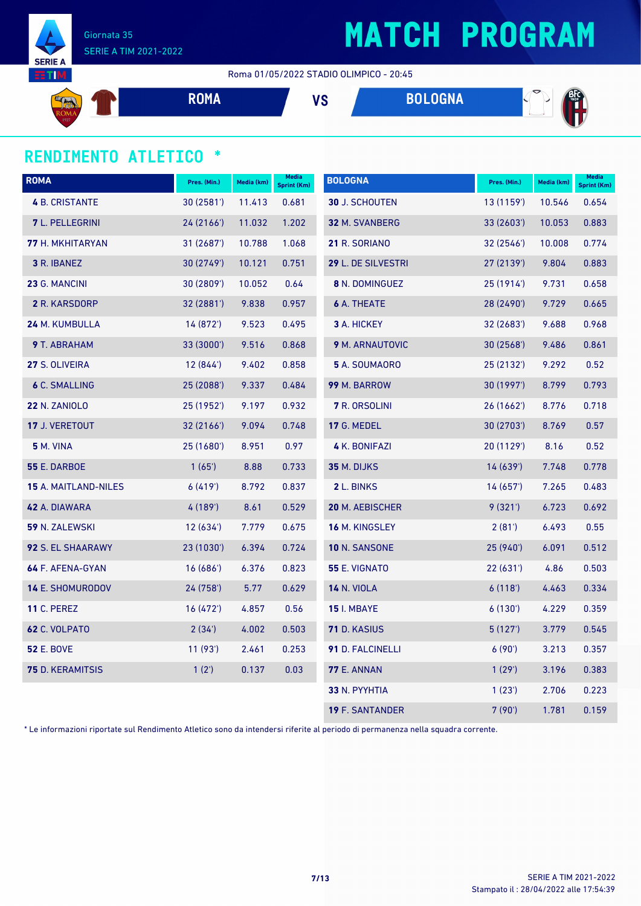

Giornata 35 SERIE A TIM 2021-2022

Roma 01/05/2022 STADIO OLIMPICO - 20:45

$$
\begin{array}{cccc}\n\mathbf{S}_{\text{RNN}} \\
\hline\n\end{array}
$$
 **ROMA VS BOLOGNA**  $\begin{array}{cccc}\n\mathbf{B}\mathbf{C} & \mathbf{A}\n\end{array}$ 

#### **RENDIMENTO ATLETICO \***

| <b>ROMA</b>                 | Pres. (Min.) | Media (km) | Media<br>Sprint (Km) | <b>BOLOGNA</b>         | Pres. (Min.) | Media (km) | <b>Media</b><br>Sprint (Km) |
|-----------------------------|--------------|------------|----------------------|------------------------|--------------|------------|-----------------------------|
| <b>4 B. CRISTANTE</b>       | 30 (2581')   | 11.413     | 0.681                | <b>30 J. SCHOUTEN</b>  | 13 (1159')   | 10.546     | 0.654                       |
| 7 L. PELLEGRINI             | 24 (2166')   | 11.032     | 1.202                | 32 M. SVANBERG         | 33 (2603')   | 10.053     | 0.883                       |
| 77 H. MKHITARYAN            | 31 (2687')   | 10.788     | 1.068                | 21 R. SORIANO          | 32(2546)     | 10.008     | 0.774                       |
| 3 R. IBANEZ                 | 30 (2749')   | 10.121     | 0.751                | 29 L. DE SILVESTRI     | 27 (2139')   | 9.804      | 0.883                       |
| 23 G. MANCINI               | 30 (2809')   | 10.052     | 0.64                 | 8 N. DOMINGUEZ         | 25(1914)     | 9.731      | 0.658                       |
| 2 R. KARSDORP               | 32 (2881')   | 9.838      | 0.957                | <b>6</b> A. THEATE     | 28 (2490')   | 9.729      | 0.665                       |
| 24 M. KUMBULLA              | 14 (872')    | 9.523      | 0.495                | 3 A. HICKEY            | 32 (2683')   | 9.688      | 0.968                       |
| 9 T. ABRAHAM                | 33 (3000')   | 9.516      | 0.868                | 9 M. ARNAUTOVIC        | 30(2568)     | 9.486      | 0.861                       |
| 27 S. OLIVEIRA              | 12(844)      | 9.402      | 0.858                | 5 A. SOUMAORO          | 25 (2132')   | 9.292      | 0.52                        |
| <b>6 C. SMALLING</b>        | 25 (2088')   | 9.337      | 0.484                | 99 M. BARROW           | 30 (1997')   | 8.799      | 0.793                       |
| <b>22 N. ZANIOLO</b>        | 25 (1952')   | 9.197      | 0.932                | <b>7</b> R. ORSOLINI   | 26(1662)     | 8.776      | 0.718                       |
| 17 J. VERETOUT              | 32 (2166')   | 9.094      | 0.748                | <b>17 G. MEDEL</b>     | 30(2703)     | 8.769      | 0.57                        |
| <b>5 M. VINA</b>            | 25 (1680')   | 8.951      | 0.97                 | 4 K. BONIFAZI          | 20 (1129')   | 8.16       | 0.52                        |
| <b>55 E. DARBOE</b>         | 1(65)        | 8.88       | 0.733                | 35 M. DIJKS            | 14(639)      | 7.748      | 0.778                       |
| <b>15 A. MAITLAND-NILES</b> | 6(419)       | 8.792      | 0.837                | 2 L. BINKS             | 14 (657')    | 7.265      | 0.483                       |
| 42 A. DIAWARA               | 4 (189')     | 8.61       | 0.529                | 20 M. AEBISCHER        | 9(321)       | 6.723      | 0.692                       |
| 59 N. ZALEWSKI              | 12(634)      | 7.779      | 0.675                | <b>16 M. KINGSLEY</b>  | 2(81)        | 6.493      | 0.55                        |
| 92 S. EL SHAARAWY           | 23 (1030')   | 6.394      | 0.724                | 10 N. SANSONE          | 25 (940')    | 6.091      | 0.512                       |
| 64 F. AFENA-GYAN            | 16(686)      | 6.376      | 0.823                | <b>55 E. VIGNATO</b>   | 22(631)      | 4.86       | 0.503                       |
| <b>14 E. SHOMURODOV</b>     | 24 (758')    | 5.77       | 0.629                | <b>14 N. VIOLA</b>     | 6(118)       | 4.463      | 0.334                       |
| <b>11 C. PEREZ</b>          | 16 (472')    | 4.857      | 0.56                 | <b>15</b> I. MBAYE     | 6(130)       | 4.229      | 0.359                       |
| 62 C. VOLPATO               | 2(34)        | 4.002      | 0.503                | 71 D. KASIUS           | 5(127)       | 3.779      | 0.545                       |
| <b>52 E. BOVE</b>           | 11(93)       | 2.461      | 0.253                | 91 D. FALCINELLI       | 6(90)        | 3.213      | 0.357                       |
| <b>75</b> D. KERAMITSIS     | 1(2')        | 0.137      | 0.03                 | <b>77 E. ANNAN</b>     | 1(29)        | 3.196      | 0.383                       |
|                             |              |            |                      | 33 N. PYYHTIA          | 1(23')       | 2.706      | 0.223                       |
|                             |              |            |                      | <b>19 F. SANTANDER</b> | 7(90)        | 1.781      | 0.159                       |

\* Le informazioni riportate sul Rendimento Atletico sono da intendersi riferite al periodo di permanenza nella squadra corrente.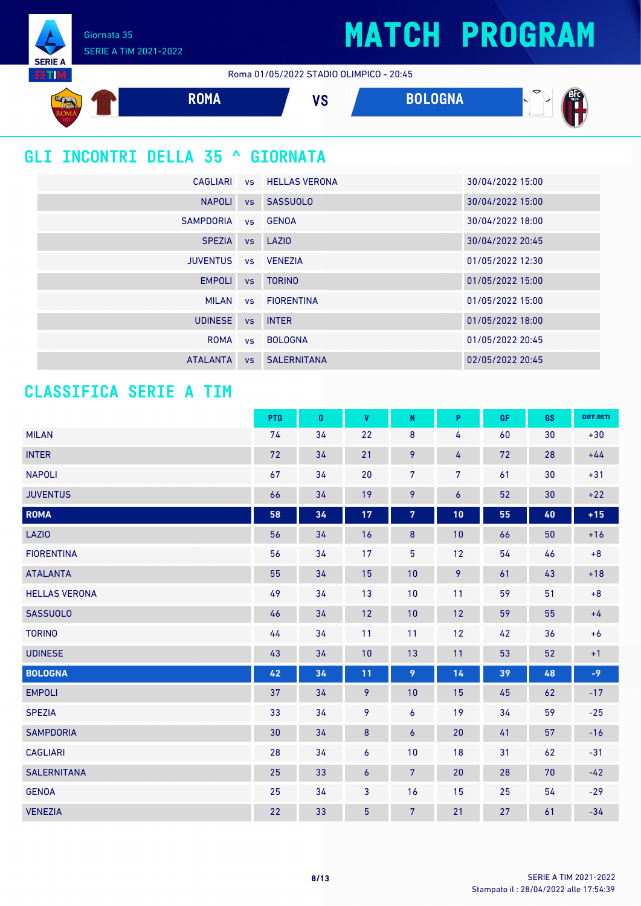Giornata 35 SERIE A TIM 2021-2022

**SERIE A TETTIM** 

Roma 01/05/2022 STADIO OLIMPICO - 20:45



### **GLI INCONTRI DELLA 35 ^ GIORNATA**

| CAGLIARI         |           | <b>vs HELLAS VERONA</b> | 30/04/2022 15:00 |
|------------------|-----------|-------------------------|------------------|
| <b>NAPOLI</b>    |           | vs SASSUOLO             | 30/04/2022 15:00 |
| <b>SAMPDORIA</b> |           | vs GENOA                | 30/04/2022 18:00 |
| <b>SPEZIA</b>    |           | vs LAZIO                | 30/04/2022 20:45 |
| <b>JUVENTUS</b>  |           | vs VENEZIA              | 01/05/2022 12:30 |
| <b>EMPOLI</b>    | <b>VS</b> | <b>TORINO</b>           | 01/05/2022 15:00 |
| <b>MILAN</b>     |           | vs FIORENTINA           | 01/05/2022 15:00 |
| <b>UDINESE</b>   | <b>VS</b> | <b>INTER</b>            | 01/05/2022 18:00 |
| <b>ROMA</b>      | VS        | <b>BOLOGNA</b>          | 01/05/2022 20:45 |
| <b>ATALANTA</b>  | <b>VS</b> | <b>SALERNITANA</b>      | 02/05/2022 20:45 |

#### **CLASSIFICA SERIE A TIM**

|                      | PTG | G  | V                | ${\sf N}$      | P                | <b>GF</b> | GS     | DIFF.RETI |
|----------------------|-----|----|------------------|----------------|------------------|-----------|--------|-----------|
| <b>MILAN</b>         | 74  | 34 | 22               | $\bf 8$        | 4                | 60        | 30     | $+30$     |
| <b>INTER</b>         | 72  | 34 | 21               | 9              | 4                | 72        | 28     | $+44$     |
| <b>NAPOLI</b>        | 67  | 34 | 20               | $\overline{7}$ | 7                | 61        | 30     | $+31$     |
| <b>JUVENTUS</b>      | 66  | 34 | 19               | 9              | $\boldsymbol{6}$ | 52        | 30     | $+22$     |
| <b>ROMA</b>          | 58  | 34 | $17$             | $\overline{7}$ | 10               | 55        | $40\,$ | $+15$     |
| <b>LAZIO</b>         | 56  | 34 | 16               | $\bf 8$        | 10               | 66        | 50     | $+16$     |
| <b>FIORENTINA</b>    | 56  | 34 | 17               | 5              | 12               | 54        | 46     | $+8$      |
| <b>ATALANTA</b>      | 55  | 34 | 15               | 10             | 9                | 61        | 43     | $+18$     |
| <b>HELLAS VERONA</b> | 49  | 34 | 13               | 10             | 11               | 59        | 51     | $+8$      |
| <b>SASSUOLO</b>      | 46  | 34 | 12               | 10             | 12               | 59        | 55     | $+4$      |
| <b>TORINO</b>        | 44  | 34 | 11               | 11             | 12               | 42        | 36     | $+6$      |
| <b>UDINESE</b>       | 43  | 34 | 10               | 13             | 11               | 53        | 52     | $+1$      |
| <b>BOLOGNA</b>       | 42  | 34 | 11               | 9              | 14               | 39        | 48     | $-9$      |
| <b>EMPOLI</b>        | 37  | 34 | 9                | 10             | 15               | 45        | 62     | $-17$     |
| <b>SPEZIA</b>        | 33  | 34 | 9                | $\overline{6}$ | 19               | 34        | 59     | $-25$     |
| <b>SAMPDORIA</b>     | 30  | 34 | $\bf 8$          | 6              | 20               | 41        | 57     | $-16$     |
| <b>CAGLIARI</b>      | 28  | 34 | 6                | 10             | 18               | 31        | 62     | $-31$     |
| <b>SALERNITANA</b>   | 25  | 33 | $\boldsymbol{6}$ | $7\phantom{.}$ | 20               | 28        | 70     | $-42$     |
| <b>GENOA</b>         | 25  | 34 | 3                | 16             | 15               | 25        | 54     | $-29$     |
| <b>VENEZIA</b>       | 22  | 33 | $\overline{5}$   | $7\phantom{.}$ | 21               | 27        | 61     | $-34$     |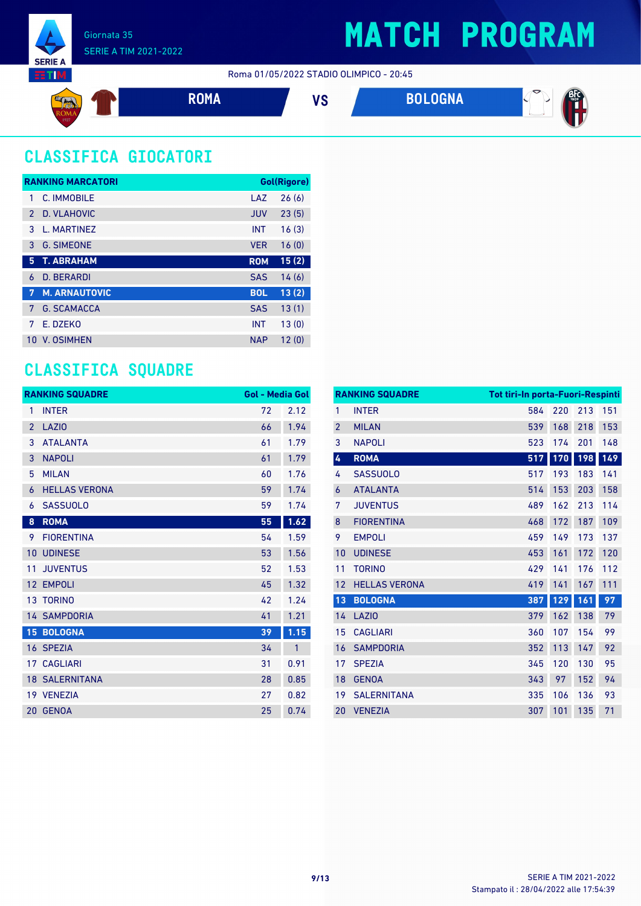





### **CLASSIFICA GIOCATORI**

|               | <b>RANKING MARCATORI</b> |            | <b>Gol(Rigore)</b> |
|---------------|--------------------------|------------|--------------------|
| 1             | C. IMMOBILE              | LAZ        | 26(6)              |
| $\mathcal{P}$ | D. VLAHOVIC              | <b>JUV</b> | 23(5)              |
| 3             | L. MARTINEZ              | <b>INT</b> | 16(3)              |
| 3             | <b>G. SIMEONE</b>        | <b>VER</b> | 16(0)              |
| 5             | <b>T. ABRAHAM</b>        | <b>ROM</b> | 15(2)              |
| 6             | <b>D. BERARDI</b>        | <b>SAS</b> | 14(6)              |
| -7            | <b>M. ARNAUTOVIC</b>     | <b>BOL</b> | 13(2)              |
| 7             | <b>G. SCAMACCA</b>       | <b>SAS</b> | 13(1)              |
| 7             | E. DZEKO                 | <b>INT</b> | 13(0)              |
| 10            | <b>V. OSIMHEN</b>        | <b>NAP</b> | 12(0)              |

#### **CLASSIFICA SQUADRE**

|                 | <b>RANKING SQUADRE</b> | <b>Gol - Media Gol</b> |              |
|-----------------|------------------------|------------------------|--------------|
| 1               | <b>INTER</b>           | 72                     | 2.12         |
| $\overline{2}$  | LAZI <sub>0</sub>      | 66                     | 1.94         |
| 3               | <b>ATALANTA</b>        | 61                     | 1.79         |
| 3               | <b>NAPOLI</b>          | 61                     | 1.79         |
| 5               | <b>MILAN</b>           | 60                     | 1.76         |
| 6               | <b>HELLAS VERONA</b>   | 59                     | 1.74         |
| 6               | <b>SASSUOLO</b>        | 59                     | 1.74         |
| 8               | <b>ROMA</b>            | 55                     | 1.62         |
| 9               | <b>FIORENTINA</b>      | 54                     | 1.59         |
| 10              | <b>UDINESE</b>         | 53                     | 1.56         |
| 11              | <b>JUVENTUS</b>        | 52                     | 1.53         |
| 12              | <b>EMPOLI</b>          | 45                     | 1.32         |
| 13 <sup>°</sup> | <b>TORINO</b>          | 42                     | 1.24         |
|                 | <b>14 SAMPDORIA</b>    | 41                     | 1.21         |
|                 | <b>15 BOLOGNA</b>      | 39                     | 1.15         |
|                 | 16 SPEZIA              | 34                     | $\mathbf{1}$ |
|                 | 17 CAGLIARI            | 31                     | 0.91         |
|                 | <b>18 SALERNITANA</b>  | 28                     | 0.85         |
|                 | 19 VENEZIA             | 27                     | 0.82         |
| 20              | <b>GENOA</b>           | 25                     | 0.74         |

|                | <b>RANKING SQUADRE</b> | Tot tiri-In porta-Fuori-Respinti |     |     |     |
|----------------|------------------------|----------------------------------|-----|-----|-----|
| 1              | <b>INTER</b>           | 584                              | 220 | 213 | 151 |
| $\overline{2}$ | <b>MILAN</b>           | 539                              | 168 | 218 | 153 |
| 3              | <b>NAPOLI</b>          | 523                              | 174 | 201 | 148 |
| 4              | <b>ROMA</b>            | 517                              | 170 | 198 | 149 |
| 4              | <b>SASSUOLO</b>        | 517                              | 193 | 183 | 141 |
| 6              | <b>ATALANTA</b>        | 514                              | 153 | 203 | 158 |
| 7              | <b>JUVENTUS</b>        | 489                              | 162 | 213 | 114 |
| 8              | <b>FIORENTINA</b>      | 468                              | 172 | 187 | 109 |
| 9              | <b>EMPOLI</b>          | 459                              | 149 | 173 | 137 |
| 10             | <b>UDINESE</b>         | 453                              | 161 | 172 | 120 |
| 11             | <b>TORINO</b>          | 429                              | 141 | 176 | 112 |
| 12             | <b>HELLAS VERONA</b>   | 419                              | 141 | 167 | 111 |
| 13             | <b>BOLOGNA</b>         | 387                              | 129 | 161 | 97  |
| 14             | <b>LAZIO</b>           | 379                              | 162 | 138 | 79  |
| 15             | <b>CAGLIARI</b>        | 360                              | 107 | 154 | 99  |
| 16             | <b>SAMPDORIA</b>       | 352                              | 113 | 147 | 92  |
| 17             | <b>SPEZIA</b>          | 345                              | 120 | 130 | 95  |
| 18             | <b>GENOA</b>           | 343                              | 97  | 152 | 94  |
| 19             | <b>SALERNITANA</b>     | 335                              | 106 | 136 | 93  |
| 20             | <b>VENEZIA</b>         | 307                              | 101 | 135 | 71  |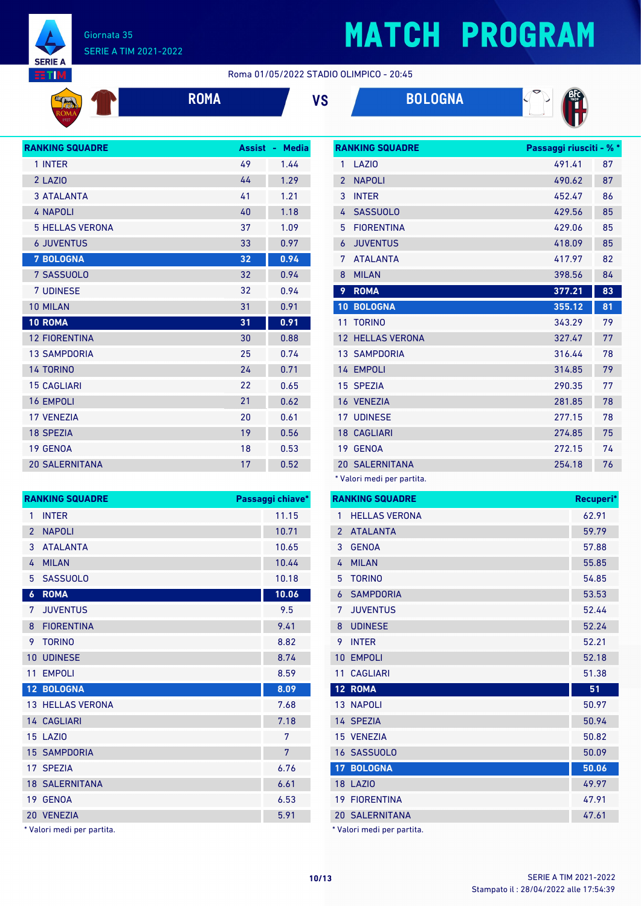

#### Giornata 35 SERIE A TIM 2021-2022

## **MATCH PROGRAM**

**RANKING SQUADRE Passaggi riusciti - % \***

Roma 01/05/2022 STADIO OLIMPICO - 20:45

|  | $\mathcal{L}^{\text{max}}_{\text{max}}$ and $\mathcal{L}^{\text{max}}_{\text{max}}$ and $\mathcal{L}^{\text{max}}_{\text{max}}$ and $\mathcal{L}^{\text{max}}_{\text{max}}$ |  |
|--|-----------------------------------------------------------------------------------------------------------------------------------------------------------------------------|--|
|  |                                                                                                                                                                             |  |
|  |                                                                                                                                                                             |  |
|  |                                                                                                                                                                             |  |
|  |                                                                                                                                                                             |  |
|  |                                                                                                                                                                             |  |
|  |                                                                                                                                                                             |  |







| <b>RANKING SQUADRE</b> | <b>Assist</b> | <b>Media</b><br>٠ |
|------------------------|---------------|-------------------|
| 1 INTER                | 49            | 1.44              |
| 2 LAZIO                | 44            | 1.29              |
| <b>3 ATALANTA</b>      | 41            | 1.21              |
| <b>4 NAPOLI</b>        | 40            | 1.18              |
| <b>5 HELLAS VERONA</b> | 37            | 1.09              |
| <b>6 JUVENTUS</b>      | 33            | 0.97              |
| <b>7 BOLOGNA</b>       | 32            | 0.94              |
| 7 SASSUOLO             | 32            | 0.94              |
| <b>7 UDINESE</b>       | 32            | 0.94              |
| 10 MILAN               | 31            | 0.91              |
| 10 ROMA                | 31            | 0.91              |
| <b>12 FIORENTINA</b>   | 30            | 0.88              |
| <b>13 SAMPDORIA</b>    | 25            | 0.74              |
| <b>14 TORINO</b>       | 24            | 0.71              |
| <b>15 CAGLIARI</b>     | 22            | 0.65              |
| <b>16 EMPOLI</b>       | 21            | 0.62              |
| <b>17 VENEZIA</b>      | 20            | 0.61              |
| <b>18 SPEZIA</b>       | 19            | 0.56              |
| 19 GENOA               | 18            | 0.53              |
| <b>20 SALERNITANA</b>  | 17            | 0.52              |

| <b>LAZIO</b>         | 491.41 | 87 |
|----------------------|--------|----|
| <b>NAPOLI</b>        | 490.62 | 87 |
| <b>INTER</b>         | 452.47 | 86 |
| <b>SASSUOLO</b>      | 429.56 | 85 |
| <b>FIORENTINA</b>    | 429.06 | 85 |
| <b>JUVENTUS</b>      | 418.09 | 85 |
| <b>ATALANTA</b>      | 417.97 | 82 |
| <b>MILAN</b>         | 398.56 | 84 |
| <b>ROMA</b>          | 377.21 | 83 |
|                      |        |    |
| <b>BOLOGNA</b>       | 355.12 | 81 |
| <b>TORINO</b>        | 343.29 | 79 |
| <b>HELLAS VERONA</b> | 327.47 | 77 |
| <b>13 SAMPDORIA</b>  | 316.44 | 78 |
| 14 EMPOLI            | 314.85 | 79 |
| 15 SPEZIA            | 290.35 | 77 |
| 16 VENEZIA           | 281.85 | 78 |
| <b>17 UDINESE</b>    | 277.15 | 78 |
| <b>18 CAGLIARI</b>   | 274.85 | 75 |
| 19 GENOA             | 272.15 | 74 |
|                      |        |    |

\* Valori medi per partita.

| <b>RANKING SQUADRE</b>     | Passaggi chiave* |    | <b>RANKING SQUADRE</b>     | Recuperi* |
|----------------------------|------------------|----|----------------------------|-----------|
| 1 INTER                    | 11.15            |    | 1 HELLAS VERONA            | 62.91     |
| 2 NAPOLI                   | 10.71            |    | 2 ATALANTA                 | 59.79     |
| 3 ATALANTA                 | 10.65            |    | 3 GENOA                    | 57.88     |
| 4 MILAN                    | 10.44            |    | 4 MILAN                    | 55.85     |
| 5 SASSUOLO                 | 10.18            | 5. | <b>TORINO</b>              | 54.85     |
| 6 ROMA                     | 10.06            |    | 6 SAMPDORIA                | 53.53     |
| 7 JUVENTUS                 | 9.5              |    | 7 JUVENTUS                 | 52.44     |
| 8 FIORENTINA               | 9.41             | 8  | <b>UDINESE</b>             | 52.24     |
| 9 TORINO                   | 8.82             |    | 9 INTER                    | 52.21     |
| <b>10 UDINESE</b>          | 8.74             |    | 10 EMPOLI                  | 52.18     |
| 11 EMPOLI                  | 8.59             |    | 11 CAGLIARI                | 51.38     |
| 12 BOLOGNA                 | 8.09             |    | 12 ROMA                    | 51        |
| <b>13 HELLAS VERONA</b>    | 7.68             |    | 13 NAPOLI                  | 50.97     |
| 14 CAGLIARI                | 7.18             |    | 14 SPEZIA                  | 50.94     |
| <b>15 LAZIO</b>            | 7                |    | 15 VENEZIA                 | 50.82     |
| <b>15 SAMPDORIA</b>        | $7\overline{ }$  |    | 16 SASSUOLO                | 50.09     |
| 17 SPEZIA                  | 6.76             |    | <b>17 BOLOGNA</b>          | 50.06     |
| <b>18 SALERNITANA</b>      | 6.61             |    | <b>18 LAZIO</b>            | 49.97     |
| 19 GENOA                   | 6.53             |    | <b>19 FIORENTINA</b>       | 47.91     |
| 20 VENEZIA                 | 5.91             |    | 20 SALERNITANA             | 47.61     |
| * Valori medi per partita. |                  |    | * Valori medi per partita. |           |

\* Valori medi per partita.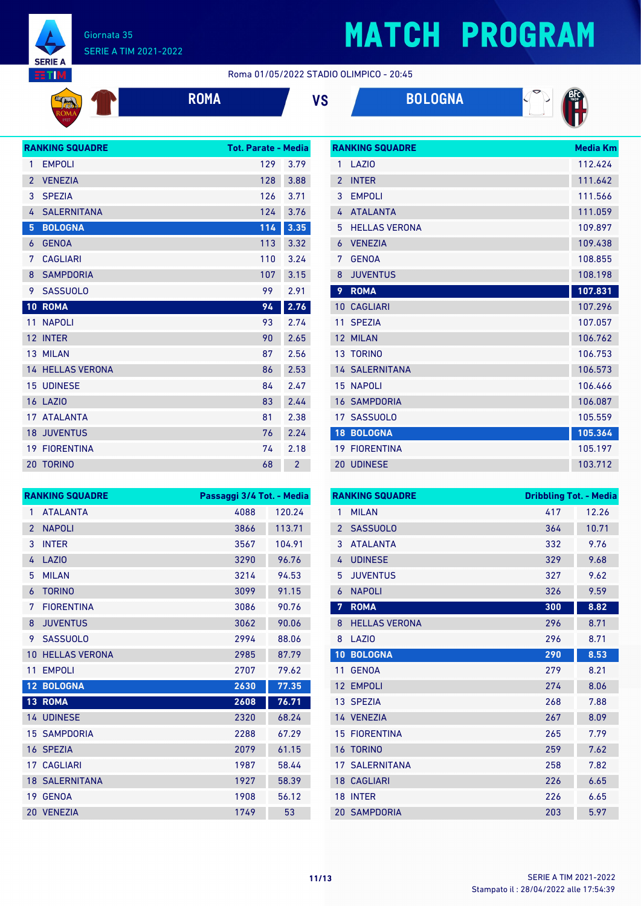

#### Giornata 35 SERIE A TIM 2021-2022

# **MATCH PROGRAM**

Roma 01/05/2022 STADIO OLIMPICO - 20:45

|  | RO |
|--|----|
|  |    |

| <b>IMA</b> | VS | <b>BOLOGNA</b> |
|------------|----|----------------|
|            |    |                |



|                 | <b>RANKING SQUADRE</b>  | <b>Tot. Parate - Media</b> |      |
|-----------------|-------------------------|----------------------------|------|
| 1               | <b>EMPOLI</b>           | 129                        | 3.79 |
| $\overline{2}$  | <b>VENEZIA</b>          | 128                        | 3.88 |
| 3               | <b>SPEZIA</b>           | 126                        | 3.71 |
| 4               | <b>SALERNITANA</b>      | 124                        | 3.76 |
| 5               | <b>BOLOGNA</b>          | 114                        | 3.35 |
| 6               | <b>GENOA</b>            | 113                        | 3.32 |
| 7               | <b>CAGLIARI</b>         | 110                        | 3.24 |
| 8               | <b>SAMPDORIA</b>        | 107                        | 3.15 |
| 9               | <b>SASSUOLO</b>         | 99                         | 2.91 |
| 10              | <b>ROMA</b>             | 94                         | 2.76 |
| 11              | <b>NAPOLI</b>           | 93                         | 2.74 |
| 12 <sup>°</sup> | <b>INTER</b>            | 90                         | 2.65 |
|                 | 13 MILAN                | 87                         | 2.56 |
|                 | <b>14 HELLAS VERONA</b> | 86                         | 2.53 |
|                 | <b>15 UDINESE</b>       | 84                         | 2.47 |
|                 | <b>16 LAZIO</b>         | 83                         | 2.44 |
| 17              | <b>ATALANTA</b>         | 81                         | 2.38 |
|                 | <b>18 JUVENTUS</b>      | 76                         | 2.24 |
|                 |                         |                            |      |
|                 | <b>19 FIORENTINA</b>    | 74                         | 2.18 |

|                 | <b>RANKING SQUADRE</b> | Media Km |
|-----------------|------------------------|----------|
| 1               | LAZIO                  | 112.424  |
| $\overline{2}$  | <b>INTER</b>           | 111.642  |
| 3               | <b>EMPOLI</b>          | 111.566  |
| 4               | <b>ATALANTA</b>        | 111.059  |
| 5               | <b>HELLAS VERONA</b>   | 109.897  |
| 6               | <b>VENEZIA</b>         | 109.438  |
| 7               | <b>GENOA</b>           | 108.855  |
| 8               | <b>JUVENTUS</b>        | 108.198  |
| 9               | <b>ROMA</b>            | 107.831  |
| 10 <sup>°</sup> | <b>CAGLIARI</b>        | 107.296  |
| 11              | <b>SPEZIA</b>          | 107.057  |
| 12              | <b>MILAN</b>           | 106.762  |
|                 | 13 TORINO              | 106.753  |
|                 | <b>14 SALERNITANA</b>  | 106.573  |
|                 | <b>15 NAPOLI</b>       | 106.466  |
| 16              | <b>SAMPDORIA</b>       | 106.087  |
|                 | 17 SASSUOLO            | 105.559  |
| 18              | <b>BOLOGNA</b>         | 105.364  |
|                 | <b>19 FIORENTINA</b>   | 105.197  |
|                 | 20 UDINESE             | 103.712  |

| <b>RANKING SQUADRE</b> |                       | Passaggi 3/4 Tot. - Media |        |
|------------------------|-----------------------|---------------------------|--------|
| $\mathbf{1}$           | <b>ATALANTA</b>       | 4088                      | 120.24 |
| $\overline{2}$         | <b>NAPOLI</b>         | 3866                      | 113.71 |
| 3                      | <b>INTER</b>          | 3567                      | 104.91 |
| 4                      | LAZIO                 | 3290                      | 96.76  |
| 5                      | <b>MILAN</b>          | 3214                      | 94.53  |
| 6                      | <b>TORINO</b>         | 3099                      | 91.15  |
| 7                      | <b>FIORENTINA</b>     | 3086                      | 90.76  |
| 8                      | <b>JUVENTUS</b>       | 3062                      | 90.06  |
| 9                      | <b>SASSUOLO</b>       | 2994                      | 88.06  |
| 10                     | <b>HELLAS VERONA</b>  | 2985                      | 87.79  |
| 11                     | <b>EMPOLI</b>         | 2707                      | 79.62  |
| 12 <sup>°</sup>        | <b>BOLOGNA</b>        | 2630                      | 77.35  |
| 13 <sup>°</sup>        | <b>ROMA</b>           | 2608                      | 76.71  |
|                        | 14 UDINESE            | 2320                      | 68.24  |
|                        | <b>15 SAMPDORIA</b>   | 2288                      | 67.29  |
|                        | 16 SPEZIA             | 2079                      | 61.15  |
| 17 <sup>7</sup>        | <b>CAGLIARI</b>       | 1987                      | 58.44  |
|                        | <b>18 SALERNITANA</b> | 1927                      | 58.39  |
|                        | 19 GENOA              | 1908                      | 56.12  |
|                        | 20 VENEZIA            | 1749                      | 53     |

| <b>RANKING SQUADRE</b> |                       |     | <b>Dribbling Tot. - Media</b> |  |
|------------------------|-----------------------|-----|-------------------------------|--|
| 1                      | <b>MILAN</b>          | 417 | 12.26                         |  |
| $\overline{2}$         | <b>SASSUOLO</b>       | 364 | 10.71                         |  |
| 3                      | <b>ATAI ANTA</b>      | 332 | 9.76                          |  |
| 4                      | <b>UDINESE</b>        | 329 | 9.68                          |  |
| 5                      | <b>JUVENTUS</b>       | 327 | 9.62                          |  |
| 6                      | <b>NAPOLI</b>         | 326 | 9.59                          |  |
| 7                      | <b>ROMA</b>           | 300 | 8.82                          |  |
| 8                      | <b>HELLAS VERONA</b>  | 296 | 8.71                          |  |
| 8                      | LAZI <sub>0</sub>     | 296 | 8.71                          |  |
| 10                     | <b>BOLOGNA</b>        | 290 | 8.53                          |  |
| 11                     | <b>GENOA</b>          | 279 | 8.21                          |  |
| 12                     | <b>EMPOLI</b>         | 274 | 8.06                          |  |
|                        | 13 SPEZIA             | 268 | 7.88                          |  |
|                        | 14 VENEZIA            | 267 | 8.09                          |  |
| 15                     | <b>FIORENTINA</b>     | 265 | 7.79                          |  |
| 16                     | <b>TORINO</b>         | 259 | 7.62                          |  |
|                        | <b>17 SALERNITANA</b> | 258 | 7.82                          |  |
|                        | <b>18 CAGLIARI</b>    | 226 | 6.65                          |  |
| 18                     | <b>INTER</b>          | 226 | 6.65                          |  |
|                        | <b>20 SAMPDORIA</b>   | 203 | 5.97                          |  |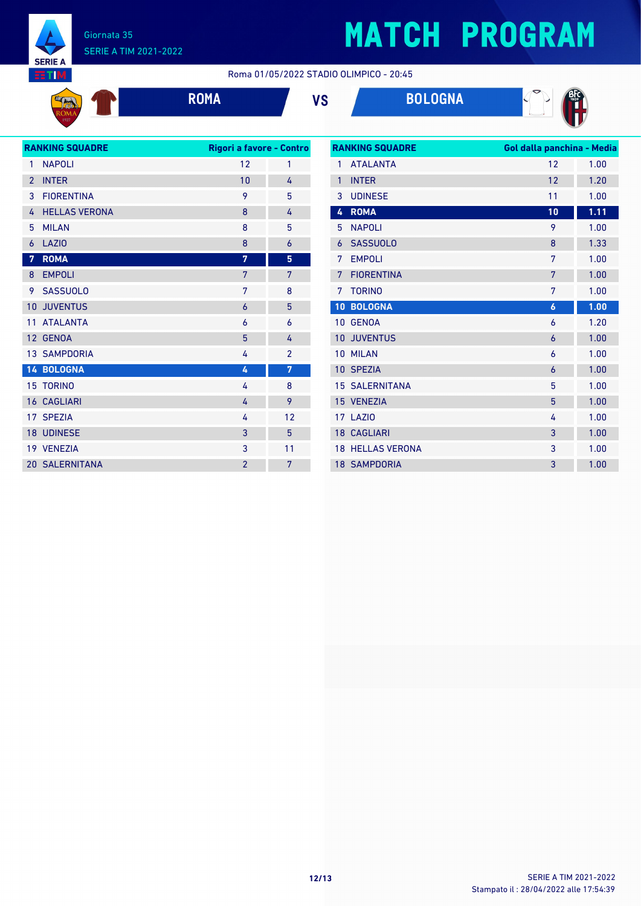

**KO** 

#### Giornata 35 SERIE A TIM 2021-2022

# **MATCH PROGRAM**

Roma 01/05/2022 STADIO OLIMPICO - 20:45





| <b>RANKING SQUADRE</b> |                       |                | Rigori a favore - Contro |  |
|------------------------|-----------------------|----------------|--------------------------|--|
| 1                      | <b>NAPOLI</b>         | 12             | 1                        |  |
| $\overline{2}$         | <b>INTER</b>          | 10             | 4                        |  |
| 3                      | <b>FIORENTINA</b>     | 9              | 5                        |  |
| 4                      | <b>HELLAS VERONA</b>  | 8              | 4                        |  |
| 5                      | <b>MILAN</b>          | 8              | 5                        |  |
| 6                      | <b>LAZIO</b>          | 8              | $\overline{6}$           |  |
| $\overline{7}$         | <b>ROMA</b>           | 7              | 5                        |  |
| 8                      | <b>EMPOLI</b>         | 7              | 7                        |  |
| 9                      | <b>SASSUOLO</b>       | 7              | 8                        |  |
| 10                     | <b>JUVENTUS</b>       | 6              | 5                        |  |
| 11                     | <b>ATALANTA</b>       | 6              | 6                        |  |
| 12                     | <b>GENOA</b>          | 5              | 4                        |  |
|                        | <b>13 SAMPDORIA</b>   | 4              | $\overline{2}$           |  |
|                        | 14 BOLOGNA            | 4              | 7                        |  |
|                        | <b>15 TORINO</b>      | 4              | 8                        |  |
|                        | <b>16 CAGLIARI</b>    | 4              | 9                        |  |
|                        | 17 SPEZIA             | 4              | 12                       |  |
|                        | <b>18 UDINESE</b>     | 3              | 5                        |  |
|                        | 19 VENEZIA            | 3              | 11                       |  |
|                        | <b>20 SALERNITANA</b> | $\overline{2}$ | 7                        |  |

| <b>RANKING SQUADRE</b> |                      | Gol dalla panchina - Media |                   |
|------------------------|----------------------|----------------------------|-------------------|
| 1                      | <b>ATALANTA</b>      | 12                         | 1.00              |
| $\mathbf{1}$           | <b>INTER</b>         | 12                         | 1.20              |
| 3                      | <b>UDINESE</b>       | 11                         | 1.00              |
| 4                      | <b>ROMA</b>          | 10                         | $1.\overline{11}$ |
| 5                      | <b>NAPOLI</b>        | 9                          | 1.00              |
| 6                      | <b>SASSUOLO</b>      | 8                          | 1.33              |
| 7                      | <b>EMPOLI</b>        | 7                          | 1.00              |
| 7                      | <b>FIORENTINA</b>    | 7                          | 1.00              |
| 7                      | <b>TORINO</b>        | 7                          | 1.00              |
| 10                     | <b>BOLOGNA</b>       | 6                          | 1.00              |
|                        | 10 GENOA             | 6                          | 1.20              |
| 10                     | <b>JUVENTUS</b>      | 6                          | 1.00              |
| 10                     | <b>MILAN</b>         | 6                          | 1.00              |
| 10 <sup>°</sup>        | <b>SPEZIA</b>        | 6                          | 1.00              |
| 15                     | <b>SALERNITANA</b>   | 5                          | 1.00              |
|                        | 15 VENEZIA           | 5                          | 1.00              |
| 17                     | LAZIO                | 4                          | 1.00              |
|                        | <b>18 CAGLIARI</b>   | 3                          | 1.00              |
| 18                     | <b>HELLAS VERONA</b> | 3                          | 1.00              |
|                        | <b>18 SAMPDORIA</b>  | 3                          | 1.00              |